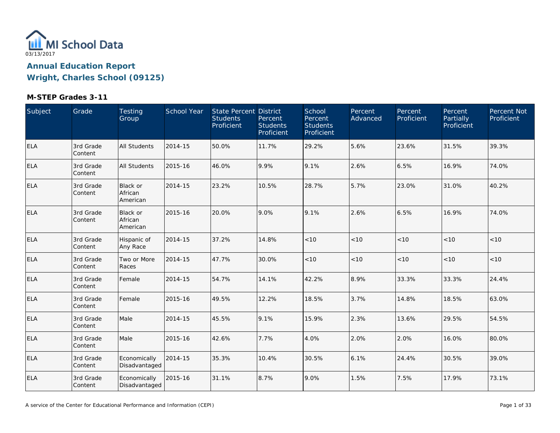

| Subject    | Grade                | Testing<br>Group                | School Year | State Percent District<br><b>Students</b><br>Proficient | Percent<br><b>Students</b><br>Proficient | School<br>Percent<br><b>Students</b><br>Proficient | Percent<br>Advanced | Percent<br>Proficient | Percent<br>Partially<br>Proficient | Percent Not<br>Proficient |
|------------|----------------------|---------------------------------|-------------|---------------------------------------------------------|------------------------------------------|----------------------------------------------------|---------------------|-----------------------|------------------------------------|---------------------------|
| <b>ELA</b> | 3rd Grade<br>Content | All Students                    | 2014-15     | 50.0%                                                   | 11.7%                                    | 29.2%                                              | 5.6%                | 23.6%                 | 31.5%                              | 39.3%                     |
| <b>ELA</b> | 3rd Grade<br>Content | All Students                    | 2015-16     | 46.0%                                                   | 9.9%                                     | 9.1%                                               | 2.6%                | 6.5%                  | 16.9%                              | 74.0%                     |
| <b>ELA</b> | 3rd Grade<br>Content | Black or<br>African<br>American | 2014-15     | 23.2%                                                   | 10.5%                                    | 28.7%                                              | 5.7%                | 23.0%                 | 31.0%                              | 40.2%                     |
| <b>ELA</b> | 3rd Grade<br>Content | Black or<br>African<br>American | 2015-16     | 20.0%                                                   | 9.0%                                     | 9.1%                                               | 2.6%                | 6.5%                  | 16.9%                              | 74.0%                     |
| <b>ELA</b> | 3rd Grade<br>Content | Hispanic of<br>Any Race         | 2014-15     | 37.2%                                                   | 14.8%                                    | $<10$                                              | < 10                | < 10                  | < 10                               | < 10                      |
| <b>ELA</b> | 3rd Grade<br>Content | Two or More<br>Races            | 2014-15     | 47.7%                                                   | 30.0%                                    | $<10$                                              | < 10                | < 10                  | < 10                               | < 10                      |
| <b>ELA</b> | 3rd Grade<br>Content | Female                          | 2014-15     | 54.7%                                                   | 14.1%                                    | 42.2%                                              | 8.9%                | 33.3%                 | 33.3%                              | 24.4%                     |
| <b>ELA</b> | 3rd Grade<br>Content | Female                          | 2015-16     | 49.5%                                                   | 12.2%                                    | 18.5%                                              | 3.7%                | 14.8%                 | 18.5%                              | 63.0%                     |
| <b>ELA</b> | 3rd Grade<br>Content | Male                            | 2014-15     | 45.5%                                                   | 9.1%                                     | 15.9%                                              | 2.3%                | 13.6%                 | 29.5%                              | 54.5%                     |
| <b>ELA</b> | 3rd Grade<br>Content | Male                            | 2015-16     | 42.6%                                                   | 7.7%                                     | 4.0%                                               | 2.0%                | 2.0%                  | 16.0%                              | 80.0%                     |
| <b>ELA</b> | 3rd Grade<br>Content | Economically<br>Disadvantaged   | 2014-15     | 35.3%                                                   | 10.4%                                    | 30.5%                                              | 6.1%                | 24.4%                 | 30.5%                              | 39.0%                     |
| <b>ELA</b> | 3rd Grade<br>Content | Economically<br>Disadvantaged   | 2015-16     | 31.1%                                                   | 8.7%                                     | 9.0%                                               | 1.5%                | 7.5%                  | 17.9%                              | 73.1%                     |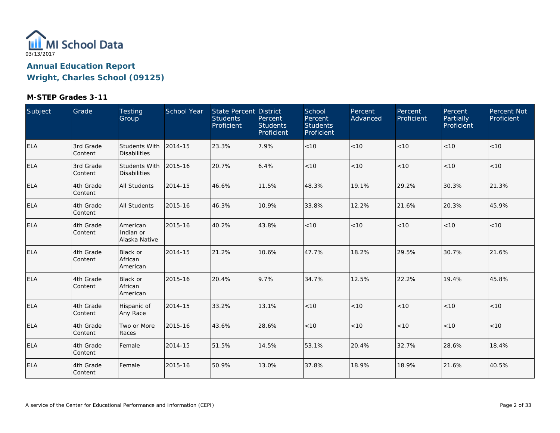

| Subject    | Grade                 | Testing<br>Group                            | School Year | State Percent District<br><b>Students</b><br>Proficient | Percent<br><b>Students</b><br>Proficient | School<br>Percent<br><b>Students</b><br>Proficient | Percent<br>Advanced | Percent<br>Proficient | Percent<br><b>Partially</b><br>Proficient | Percent Not<br>Proficient |
|------------|-----------------------|---------------------------------------------|-------------|---------------------------------------------------------|------------------------------------------|----------------------------------------------------|---------------------|-----------------------|-------------------------------------------|---------------------------|
| ELA        | 3rd Grade<br>Content  | <b>Students With</b><br><b>Disabilities</b> | 2014-15     | 23.3%                                                   | 7.9%                                     | $<10$                                              | < 10                | < 10                  | < 10                                      | < 10                      |
| <b>ELA</b> | 3rd Grade<br> Content | Students With<br><b>Disabilities</b>        | 2015-16     | 20.7%                                                   | 6.4%                                     | < 10                                               | < 10                | < 10                  | < 10                                      | < 10                      |
| ELA        | 4th Grade<br>Content  | All Students                                | 2014-15     | 46.6%                                                   | 11.5%                                    | 48.3%                                              | 19.1%               | 29.2%                 | 30.3%                                     | 21.3%                     |
| <b>ELA</b> | 4th Grade<br>Content  | <b>All Students</b>                         | 2015-16     | 46.3%                                                   | 10.9%                                    | 33.8%                                              | 12.2%               | 21.6%                 | 20.3%                                     | 45.9%                     |
| ELA        | 4th Grade<br>Content  | American<br>Indian or<br>Alaska Native      | 2015-16     | 40.2%                                                   | 43.8%                                    | $<10$                                              | $<10$               | $<10$                 | < 10                                      | < 10                      |
| ELA        | 4th Grade<br> Content | <b>Black or</b><br>African<br>American      | 2014-15     | 21.2%                                                   | 10.6%                                    | 47.7%                                              | 18.2%               | 29.5%                 | 30.7%                                     | 21.6%                     |
| <b>ELA</b> | 4th Grade<br>Content  | <b>Black or</b><br>African<br>American      | 2015-16     | 20.4%                                                   | 9.7%                                     | 34.7%                                              | 12.5%               | 22.2%                 | 19.4%                                     | 45.8%                     |
| <b>ELA</b> | 4th Grade<br>Content  | Hispanic of<br>Any Race                     | 2014-15     | 33.2%                                                   | 13.1%                                    | $<10$                                              | < 10                | < 10                  | < 10                                      | < 10                      |
| <b>ELA</b> | 4th Grade<br> Content | Two or More<br>Races                        | 2015-16     | 43.6%                                                   | 28.6%                                    | < 10                                               | < 10                | < 10                  | < 10                                      | < 10                      |
| <b>ELA</b> | 4th Grade<br>Content  | Female                                      | 2014-15     | 51.5%                                                   | 14.5%                                    | 53.1%                                              | 20.4%               | 32.7%                 | 28.6%                                     | 18.4%                     |
| <b>ELA</b> | 4th Grade<br>Content  | Female                                      | 2015-16     | 50.9%                                                   | 13.0%                                    | 37.8%                                              | 18.9%               | 18.9%                 | 21.6%                                     | 40.5%                     |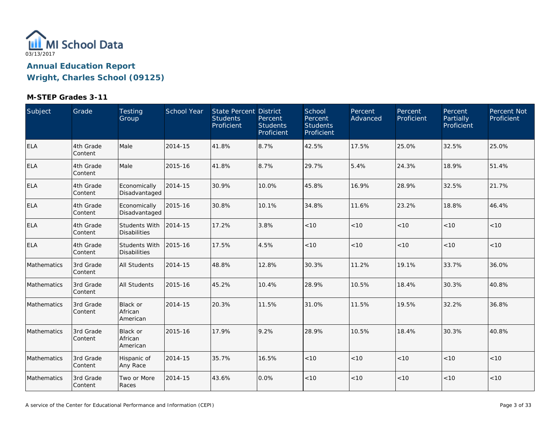

| Subject     | Grade                | Testing<br>Group                            | School Year | <b>State Percent District</b><br><b>Students</b><br>Proficient | Percent<br><b>Students</b><br>Proficient | School<br>Percent<br><b>Students</b><br>Proficient | Percent<br>Advanced | Percent<br>Proficient | Percent<br>Partially<br>Proficient | Percent Not<br>Proficient |
|-------------|----------------------|---------------------------------------------|-------------|----------------------------------------------------------------|------------------------------------------|----------------------------------------------------|---------------------|-----------------------|------------------------------------|---------------------------|
| <b>ELA</b>  | 4th Grade<br>Content | Male                                        | 2014-15     | 41.8%                                                          | 8.7%                                     | 42.5%                                              | 17.5%               | 25.0%                 | 32.5%                              | 25.0%                     |
| <b>ELA</b>  | 4th Grade<br>Content | Male                                        | 2015-16     | 41.8%                                                          | 8.7%                                     | 29.7%                                              | 5.4%                | 24.3%                 | 18.9%                              | 51.4%                     |
| <b>ELA</b>  | 4th Grade<br>Content | Economically<br>Disadvantaged               | 2014-15     | 30.9%                                                          | 10.0%                                    | 45.8%                                              | 16.9%               | 28.9%                 | 32.5%                              | 21.7%                     |
| <b>ELA</b>  | 4th Grade<br>Content | Economically<br>Disadvantaged               | 2015-16     | 30.8%                                                          | 10.1%                                    | 34.8%                                              | 11.6%               | 23.2%                 | 18.8%                              | 46.4%                     |
| <b>ELA</b>  | 4th Grade<br>Content | Students With<br><b>Disabilities</b>        | 2014-15     | 17.2%                                                          | 3.8%                                     | < 10                                               | < 10                | < 10                  | < 10                               | < 10                      |
| <b>ELA</b>  | 4th Grade<br>Content | <b>Students With</b><br><b>Disabilities</b> | 2015-16     | 17.5%                                                          | 4.5%                                     | $<10$                                              | $<10$               | < 10                  | < 10                               | < 10                      |
| Mathematics | 3rd Grade<br>Content | All Students                                | 2014-15     | 48.8%                                                          | 12.8%                                    | 30.3%                                              | 11.2%               | 19.1%                 | 33.7%                              | 36.0%                     |
| Mathematics | 3rd Grade<br>Content | All Students                                | 2015-16     | 45.2%                                                          | 10.4%                                    | 28.9%                                              | 10.5%               | 18.4%                 | 30.3%                              | 40.8%                     |
| Mathematics | 3rd Grade<br>Content | Black or<br>African<br>American             | 2014-15     | 20.3%                                                          | 11.5%                                    | 31.0%                                              | 11.5%               | 19.5%                 | 32.2%                              | 36.8%                     |
| Mathematics | 3rd Grade<br>Content | Black or<br>African<br>American             | 2015-16     | 17.9%                                                          | 9.2%                                     | 28.9%                                              | 10.5%               | 18.4%                 | 30.3%                              | 40.8%                     |
| Mathematics | 3rd Grade<br>Content | Hispanic of<br>Any Race                     | 2014-15     | 35.7%                                                          | 16.5%                                    | < 10                                               | < 10                | < 10                  | < 10                               | < 10                      |
| Mathematics | 3rd Grade<br>Content | Two or More<br>Races                        | 2014-15     | 43.6%                                                          | 0.0%                                     | < 10                                               | < 10                | < 10                  | < 10                               | < 10                      |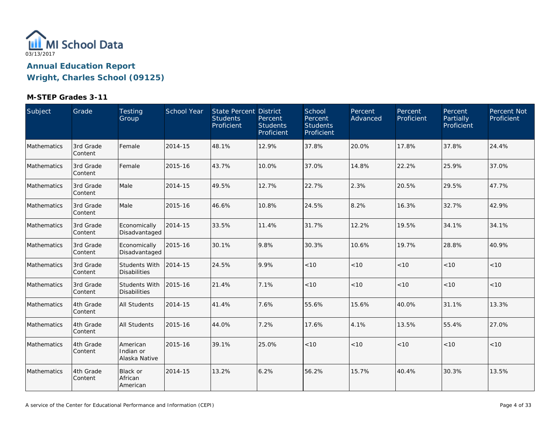

| Subject     | Grade                | Testing<br>Group                       | School Year | State Percent District<br><b>Students</b><br>Proficient | Percent<br><b>Students</b><br>Proficient | School<br>Percent<br><b>Students</b><br>Proficient | Percent<br>Advanced | Percent<br>Proficient | Percent<br>Partially<br>Proficient | Percent Not<br>Proficient |
|-------------|----------------------|----------------------------------------|-------------|---------------------------------------------------------|------------------------------------------|----------------------------------------------------|---------------------|-----------------------|------------------------------------|---------------------------|
| Mathematics | 3rd Grade<br>Content | Female                                 | 2014-15     | 48.1%                                                   | 12.9%                                    | 37.8%                                              | 20.0%               | 17.8%                 | 37.8%                              | 24.4%                     |
| Mathematics | 3rd Grade<br>Content | Female                                 | 2015-16     | 43.7%                                                   | 10.0%                                    | 37.0%                                              | 14.8%               | 22.2%                 | 25.9%                              | 37.0%                     |
| Mathematics | 3rd Grade<br>Content | Male                                   | 2014-15     | 49.5%                                                   | 12.7%                                    | 22.7%                                              | 2.3%                | 20.5%                 | 29.5%                              | 47.7%                     |
| Mathematics | 3rd Grade<br>Content | Male                                   | 2015-16     | 46.6%                                                   | 10.8%                                    | 24.5%                                              | 8.2%                | 16.3%                 | 32.7%                              | 42.9%                     |
| Mathematics | 3rd Grade<br>Content | Economically<br>Disadvantaged          | 2014-15     | 33.5%                                                   | 11.4%                                    | 31.7%                                              | 12.2%               | 19.5%                 | 34.1%                              | 34.1%                     |
| Mathematics | 3rd Grade<br>Content | Economically<br>Disadvantaged          | 2015-16     | 30.1%                                                   | 9.8%                                     | 30.3%                                              | 10.6%               | 19.7%                 | 28.8%                              | 40.9%                     |
| Mathematics | 3rd Grade<br>Content | Students With<br><b>Disabilities</b>   | 2014-15     | 24.5%                                                   | 9.9%                                     | < 10                                               | < 10                | < 10                  | < 10                               | < 10                      |
| Mathematics | 3rd Grade<br>Content | Students With<br><b>Disabilities</b>   | 2015-16     | 21.4%                                                   | 7.1%                                     | < 10                                               | < 10                | < 10                  | < 10                               | < 10                      |
| Mathematics | 4th Grade<br>Content | All Students                           | 2014-15     | 41.4%                                                   | 7.6%                                     | 55.6%                                              | 15.6%               | 40.0%                 | 31.1%                              | 13.3%                     |
| Mathematics | 4th Grade<br>Content | All Students                           | 2015-16     | 44.0%                                                   | 7.2%                                     | 17.6%                                              | 4.1%                | 13.5%                 | 55.4%                              | 27.0%                     |
| Mathematics | 4th Grade<br>Content | American<br>Indian or<br>Alaska Native | 2015-16     | 39.1%                                                   | 25.0%                                    | $<10$                                              | $<10$               | < 10                  | < 10                               | $<10$                     |
| Mathematics | 4th Grade<br>Content | Black or<br>African<br>American        | 2014-15     | 13.2%                                                   | 6.2%                                     | 56.2%                                              | 15.7%               | 40.4%                 | 30.3%                              | 13.5%                     |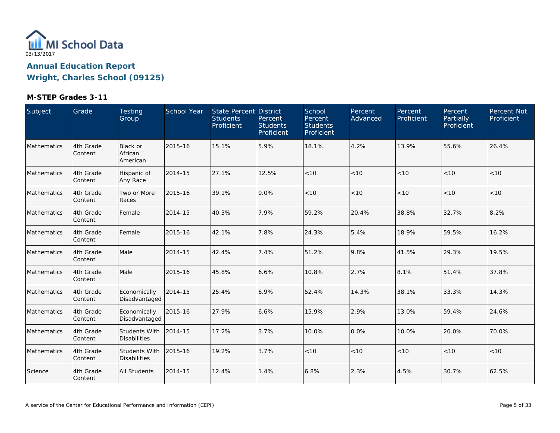

| Subject     | Grade                | Testing<br>Group                            | School Year | State Percent District<br><b>Students</b><br>Proficient | Percent<br><b>Students</b><br>Proficient | School<br>Percent<br><b>Students</b><br>Proficient | Percent<br>Advanced | Percent<br>Proficient | Percent<br>Partially<br>Proficient | Percent Not<br>Proficient |
|-------------|----------------------|---------------------------------------------|-------------|---------------------------------------------------------|------------------------------------------|----------------------------------------------------|---------------------|-----------------------|------------------------------------|---------------------------|
| Mathematics | 4th Grade<br>Content | Black or<br>African<br>American             | 2015-16     | 15.1%                                                   | 5.9%                                     | 18.1%                                              | 4.2%                | 13.9%                 | 55.6%                              | 26.4%                     |
| Mathematics | 4th Grade<br>Content | Hispanic of<br>Any Race                     | 2014-15     | 27.1%                                                   | 12.5%                                    | < 10                                               | < 10                | < 10                  | < 10                               | < 10                      |
| Mathematics | 4th Grade<br>Content | Two or More<br>Races                        | 2015-16     | 39.1%                                                   | 0.0%                                     | < 10                                               | < 10                | < 10                  | < 10                               | < 10                      |
| Mathematics | 4th Grade<br>Content | Female                                      | 2014-15     | 40.3%                                                   | 7.9%                                     | 59.2%                                              | 20.4%               | 38.8%                 | 32.7%                              | 8.2%                      |
| Mathematics | 4th Grade<br>Content | Female                                      | 2015-16     | 42.1%                                                   | 7.8%                                     | 24.3%                                              | 5.4%                | 18.9%                 | 59.5%                              | 16.2%                     |
| Mathematics | 4th Grade<br>Content | Male                                        | 2014-15     | 42.4%                                                   | 7.4%                                     | 51.2%                                              | 9.8%                | 41.5%                 | 29.3%                              | 19.5%                     |
| Mathematics | 4th Grade<br>Content | Male                                        | 2015-16     | 45.8%                                                   | 6.6%                                     | 10.8%                                              | 2.7%                | 8.1%                  | 51.4%                              | 37.8%                     |
| Mathematics | 4th Grade<br>Content | Economically<br>Disadvantaged               | 2014-15     | 25.4%                                                   | 6.9%                                     | 52.4%                                              | 14.3%               | 38.1%                 | 33.3%                              | 14.3%                     |
| Mathematics | 4th Grade<br>Content | Economically<br>Disadvantaged               | 2015-16     | 27.9%                                                   | 6.6%                                     | 15.9%                                              | 2.9%                | 13.0%                 | 59.4%                              | 24.6%                     |
| Mathematics | 4th Grade<br>Content | Students With<br><b>Disabilities</b>        | 2014-15     | 17.2%                                                   | 3.7%                                     | 10.0%                                              | 0.0%                | 10.0%                 | 20.0%                              | 70.0%                     |
| Mathematics | 4th Grade<br>Content | <b>Students With</b><br><b>Disabilities</b> | 2015-16     | 19.2%                                                   | 3.7%                                     | < 10                                               | < 10                | < 10                  | < 10                               | < 10                      |
| Science     | 4th Grade<br>Content | All Students                                | 2014-15     | 12.4%                                                   | 1.4%                                     | 6.8%                                               | 2.3%                | 4.5%                  | 30.7%                              | 62.5%                     |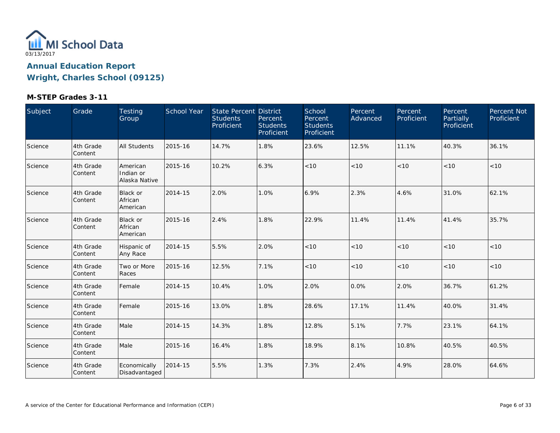

| Subject | Grade                | Testing<br>Group                       | School Year | <b>State Percent District</b><br><b>Students</b><br>Proficient | Percent<br><b>Students</b><br>Proficient | School<br>Percent<br><b>Students</b><br>Proficient | Percent<br>Advanced | Percent<br>Proficient | Percent<br>Partially<br>Proficient | Percent Not<br>Proficient |
|---------|----------------------|----------------------------------------|-------------|----------------------------------------------------------------|------------------------------------------|----------------------------------------------------|---------------------|-----------------------|------------------------------------|---------------------------|
| Science | 4th Grade<br>Content | All Students                           | 2015-16     | 14.7%                                                          | 1.8%                                     | 23.6%                                              | 12.5%               | 11.1%                 | 40.3%                              | 36.1%                     |
| Science | 4th Grade<br>Content | American<br>Indian or<br>Alaska Native | 2015-16     | 10.2%                                                          | 6.3%                                     | < 10                                               | < 10                | < 10                  | < 10                               | $<10$                     |
| Science | 4th Grade<br>Content | Black or<br>African<br>American        | 2014-15     | 2.0%                                                           | 1.0%                                     | 6.9%                                               | 2.3%                | 4.6%                  | 31.0%                              | 62.1%                     |
| Science | 4th Grade<br>Content | Black or<br>African<br>American        | 2015-16     | 2.4%                                                           | 1.8%                                     | 22.9%                                              | 11.4%               | 11.4%                 | 41.4%                              | 35.7%                     |
| Science | 4th Grade<br>Content | Hispanic of<br>Any Race                | 2014-15     | 5.5%                                                           | 2.0%                                     | < 10                                               | < 10                | < 10                  | < 10                               | $<10$                     |
| Science | 4th Grade<br>Content | Two or More<br>Races                   | 2015-16     | 12.5%                                                          | 7.1%                                     | < 10                                               | < 10                | < 10                  | < 10                               | < 10                      |
| Science | 4th Grade<br>Content | Female                                 | 2014-15     | 10.4%                                                          | 1.0%                                     | 2.0%                                               | 0.0%                | 2.0%                  | 36.7%                              | 61.2%                     |
| Science | 4th Grade<br>Content | Female                                 | 2015-16     | 13.0%                                                          | 1.8%                                     | 28.6%                                              | 17.1%               | 11.4%                 | 40.0%                              | 31.4%                     |
| Science | 4th Grade<br>Content | Male                                   | 2014-15     | 14.3%                                                          | 1.8%                                     | 12.8%                                              | 5.1%                | 7.7%                  | 23.1%                              | 64.1%                     |
| Science | 4th Grade<br>Content | Male                                   | 2015-16     | 16.4%                                                          | 1.8%                                     | 18.9%                                              | 8.1%                | 10.8%                 | 40.5%                              | 40.5%                     |
| Science | 4th Grade<br>Content | Economically<br>Disadvantaged          | 2014-15     | 5.5%                                                           | 1.3%                                     | 7.3%                                               | 2.4%                | 4.9%                  | 28.0%                              | 64.6%                     |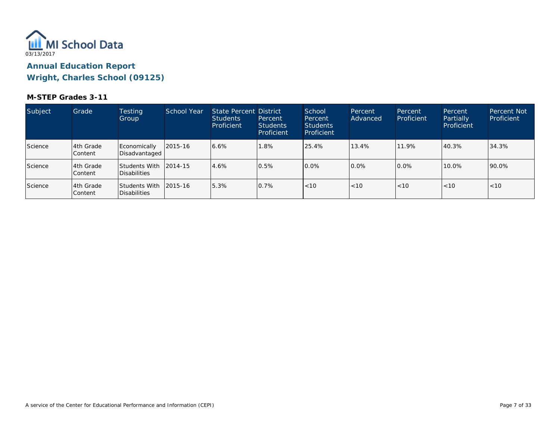

| Subject        | Grade                        | <b>Testing</b><br>Group              | <b>School Year</b> | State Percent District<br><b>Students</b><br>Proficient | Percent<br><b>Students</b><br>Proficient | School<br>Percent<br><b>Students</b><br>Proficient | Percent<br>Advanced | Percent<br>Proficient | Percent<br>Partially<br>Proficient | <b>Percent Not</b><br>Proficient |
|----------------|------------------------------|--------------------------------------|--------------------|---------------------------------------------------------|------------------------------------------|----------------------------------------------------|---------------------|-----------------------|------------------------------------|----------------------------------|
| <b>Science</b> | l4th Grade<br>lContent       | Economically<br>Disadvantaged        | 2015-16            | 6.6%                                                    | 1.8%                                     | 25.4%                                              | 13.4%               | 11.9%                 | 40.3%                              | 34.3%                            |
| Science        | l4th Grade<br><b>Content</b> | <b>Students With</b><br>Disabilities | 2014-15            | 4.6%                                                    | 0.5%                                     | $0.0\%$                                            | 0.0%                | $0.0\%$               | 10.0%                              | 90.0%                            |
| Science        | 14th Grade<br>lContent       | <b>Students With</b><br>Disabilities | 2015-16            | 5.3%                                                    | 0.7%                                     | < 10                                               | < 10                | < 10                  | < 10                               | < 10                             |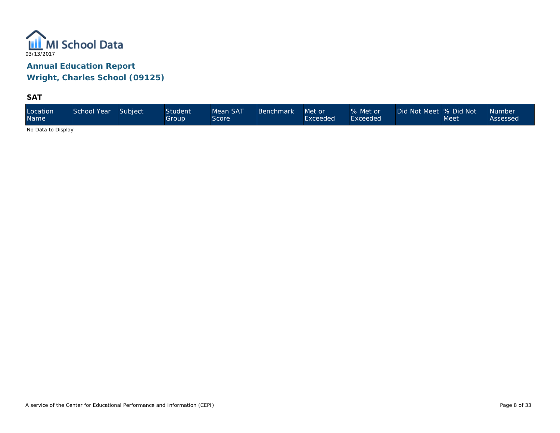

**SAT**

| Location<br><b>Name</b> | School Year | Subject | <b>Student</b><br>Group | Mean SAT<br>Score | <b>Benchmark</b> | Met or<br>Exceeded | % Met or<br>Exceeded | Did Not Meet % Did Not | Meet | Number<br>Assessed |
|-------------------------|-------------|---------|-------------------------|-------------------|------------------|--------------------|----------------------|------------------------|------|--------------------|
|-------------------------|-------------|---------|-------------------------|-------------------|------------------|--------------------|----------------------|------------------------|------|--------------------|

No Data to Display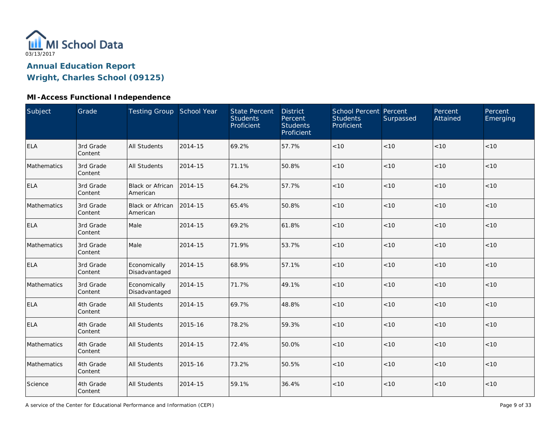

### **MI-Access Functional Independence**

| <b>Subject</b> | Grade                | Testing Group School Year           |         | <b>State Percent</b><br><b>Students</b><br>Proficient | <b>District</b><br>Percent<br><b>Students</b><br>Proficient | <b>School Percent Percent</b><br><b>Students</b><br>Proficient | Surpassed | Percent<br>Attained | Percent<br>Emerging |
|----------------|----------------------|-------------------------------------|---------|-------------------------------------------------------|-------------------------------------------------------------|----------------------------------------------------------------|-----------|---------------------|---------------------|
| <b>ELA</b>     | 3rd Grade<br>Content | <b>All Students</b>                 | 2014-15 | 69.2%                                                 | 57.7%                                                       | < 10                                                           | < 10      | < 10                | < 10                |
| Mathematics    | 3rd Grade<br>Content | <b>All Students</b>                 | 2014-15 | 71.1%                                                 | 50.8%                                                       | < 10                                                           | < 10      | < 10                | $<10$               |
| ELA            | 3rd Grade<br>Content | Black or African<br>American        | 2014-15 | 64.2%                                                 | 57.7%                                                       | < 10                                                           | < 10      | < 10                | < 10                |
| Mathematics    | 3rd Grade<br>Content | <b>Black or African</b><br>American | 2014-15 | 65.4%                                                 | 50.8%                                                       | < 10                                                           | < 10      | $<10$               | $<10$               |
| <b>ELA</b>     | 3rd Grade<br>Content | Male                                | 2014-15 | 69.2%                                                 | 61.8%                                                       | < 10                                                           | < 10      | < 10                | < 10                |
| Mathematics    | 3rd Grade<br>Content | Male                                | 2014-15 | 71.9%                                                 | 53.7%                                                       | $<10$                                                          | < 10      | < 10                | < 10                |
| <b>ELA</b>     | 3rd Grade<br>Content | Economically<br>Disadvantaged       | 2014-15 | 68.9%                                                 | 57.1%                                                       | < 10                                                           | < 10      | < 10                | < 10                |
| Mathematics    | 3rd Grade<br>Content | Economically<br>Disadvantaged       | 2014-15 | 71.7%                                                 | 49.1%                                                       | < 10                                                           | < 10      | < 10                | < 10                |
| <b>ELA</b>     | 4th Grade<br>Content | <b>All Students</b>                 | 2014-15 | 69.7%                                                 | 48.8%                                                       | $<10$                                                          | < 10      | < 10                | $<10$               |
| <b>ELA</b>     | 4th Grade<br>Content | <b>All Students</b>                 | 2015-16 | 78.2%                                                 | 59.3%                                                       | < 10                                                           | < 10      | < 10                | < 10                |
| Mathematics    | 4th Grade<br>Content | <b>All Students</b>                 | 2014-15 | 72.4%                                                 | 50.0%                                                       | < 10                                                           | < 10      | $<10$               | $<10$               |
| Mathematics    | 4th Grade<br>Content | <b>All Students</b>                 | 2015-16 | 73.2%                                                 | 50.5%                                                       | $<10$                                                          | < 10      | < 10                | < 10                |
| Science        | 4th Grade<br>Content | <b>All Students</b>                 | 2014-15 | 59.1%                                                 | 36.4%                                                       | $<10$                                                          | < 10      | < 10                | < 10                |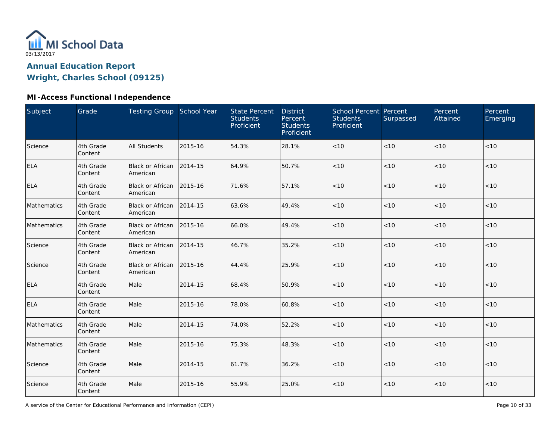

### **MI-Access Functional Independence**

| Subject     | Grade                | Testing Group School Year            |         | <b>State Percent</b><br><b>Students</b><br>Proficient | <b>District</b><br>Percent<br><b>Students</b><br>Proficient | School Percent Percent<br><b>Students</b><br>Proficient | Surpassed | Percent<br>Attained | Percent<br>Emerging |
|-------------|----------------------|--------------------------------------|---------|-------------------------------------------------------|-------------------------------------------------------------|---------------------------------------------------------|-----------|---------------------|---------------------|
| Science     | 4th Grade<br>Content | <b>All Students</b>                  | 2015-16 | 54.3%                                                 | 28.1%                                                       | $<10$                                                   | < 10      | < 10                | < 10                |
| <b>ELA</b>  | 4th Grade<br>Content | Black or African<br>American         | 2014-15 | 64.9%                                                 | 50.7%                                                       | < 10                                                    | < 10      | < 10                | < 10                |
| <b>ELA</b>  | 4th Grade<br>Content | Black or African 2015-16<br>American |         | 71.6%                                                 | 57.1%                                                       | < 10                                                    | < 10      | < 10                | < 10                |
| Mathematics | 4th Grade<br>Content | Black or African 2014-15<br>American |         | 63.6%                                                 | 49.4%                                                       | < 10                                                    | < 10      | < 10                | < 10                |
| Mathematics | 4th Grade<br>Content | <b>Black or African</b><br>American  | 2015-16 | 66.0%                                                 | 49.4%                                                       | < 10                                                    | < 10      | < 10                | < 10                |
| Science     | 4th Grade<br>Content | <b>Black or African</b><br>American  | 2014-15 | 46.7%                                                 | 35.2%                                                       | < 10                                                    | < 10      | < 10                | < 10                |
| Science     | 4th Grade<br>Content | Black or African<br>American         | 2015-16 | 44.4%                                                 | 25.9%                                                       | < 10                                                    | < 10      | < 10                | < 10                |
| <b>ELA</b>  | 4th Grade<br>Content | Male                                 | 2014-15 | 68.4%                                                 | 50.9%                                                       | < 10                                                    | < 10      | < 10                | < 10                |
| <b>ELA</b>  | 4th Grade<br>Content | Male                                 | 2015-16 | 78.0%                                                 | 60.8%                                                       | < 10                                                    | < 10      | < 10                | < 10                |
| Mathematics | 4th Grade<br>Content | Male                                 | 2014-15 | 74.0%                                                 | 52.2%                                                       | $<10$                                                   | < 10      | < 10                | < 10                |
| Mathematics | 4th Grade<br>Content | Male                                 | 2015-16 | 75.3%                                                 | 48.3%                                                       | $<10$                                                   | < 10      | < 10                | < 10                |
| Science     | 4th Grade<br>Content | Male                                 | 2014-15 | 61.7%                                                 | 36.2%                                                       | < 10                                                    | < 10      | < 10                | < 10                |
| Science     | 4th Grade<br>Content | Male                                 | 2015-16 | 55.9%                                                 | 25.0%                                                       | < 10                                                    | < 10      | < 10                | < 10                |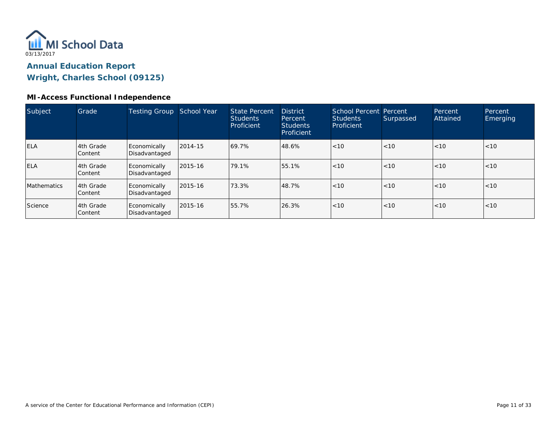

#### **MI-Access Functional Independence**

| Subject            | Grade                       | <b>Testing Group</b>          | School Year | State Percent<br><b>Students</b><br>Proficient | <b>District</b><br><b>Percent</b><br><b>Students</b><br>Proficient | School Percent Percent<br><b>Students</b><br>Proficient | Surpassed | Percent<br>Attained | Percent<br><b>Emerging</b> |
|--------------------|-----------------------------|-------------------------------|-------------|------------------------------------------------|--------------------------------------------------------------------|---------------------------------------------------------|-----------|---------------------|----------------------------|
| <b>IELA</b>        | 4th Grade<br>Content        | Economically<br>Disadvantaged | 2014-15     | 69.7%                                          | 48.6%                                                              | < 10                                                    | < 10      | < 10                | < 10                       |
| <b>ELA</b>         | 4th Grade<br>Content        | Economically<br>Disadvantaged | 2015-16     | 79.1%                                          | 55.1%                                                              | < 10                                                    | < 10      | < 10                | < 10                       |
| <b>Mathematics</b> | 4th Grade<br><b>Content</b> | Economically<br>Disadvantaged | 2015-16     | 73.3%                                          | 48.7%                                                              | < 10                                                    | < 10      | < 10                | < 10                       |
| Science            | 4th Grade<br>Content        | Economically<br>Disadvantaged | 2015-16     | 55.7%                                          | 26.3%                                                              | < 10                                                    | < 10      | < 10                | < 10                       |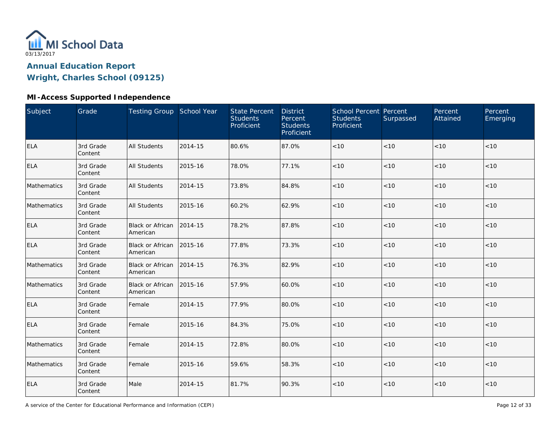

### **MI-Access Supported Independence**

| Subject     | Grade                | Testing Group School Year           |         | <b>State Percent</b><br><b>Students</b><br>Proficient | <b>District</b><br>Percent<br><b>Students</b><br>Proficient | School Percent Percent<br><b>Students</b><br>Proficient | Surpassed | Percent<br>Attained | Percent<br>Emerging |
|-------------|----------------------|-------------------------------------|---------|-------------------------------------------------------|-------------------------------------------------------------|---------------------------------------------------------|-----------|---------------------|---------------------|
| <b>ELA</b>  | 3rd Grade<br>Content | <b>All Students</b>                 | 2014-15 | 80.6%                                                 | 87.0%                                                       | $<10$                                                   | < 10      | < 10                | < 10                |
| <b>ELA</b>  | 3rd Grade<br>Content | <b>All Students</b>                 | 2015-16 | 78.0%                                                 | 77.1%                                                       | < 10                                                    | < 10      | < 10                | < 10                |
| Mathematics | 3rd Grade<br>Content | <b>All Students</b>                 | 2014-15 | 73.8%                                                 | 84.8%                                                       | < 10                                                    | < 10      | < 10                | < 10                |
| Mathematics | 3rd Grade<br>Content | <b>All Students</b>                 | 2015-16 | 60.2%                                                 | 62.9%                                                       | $<10$                                                   | < 10      | < 10                | $<10$               |
| <b>ELA</b>  | 3rd Grade<br>Content | Black or African<br>American        | 2014-15 | 78.2%                                                 | 87.8%                                                       | $<10$                                                   | < 10      | < 10                | < 10                |
| <b>ELA</b>  | 3rd Grade<br>Content | <b>Black or African</b><br>American | 2015-16 | 77.8%                                                 | 73.3%                                                       | $<10$                                                   | < 10      | < 10                | < 10                |
| Mathematics | 3rd Grade<br>Content | Black or African<br>American        | 2014-15 | 76.3%                                                 | 82.9%                                                       | < 10                                                    | < 10      | < 10                | < 10                |
| Mathematics | 3rd Grade<br>Content | <b>Black or African</b><br>American | 2015-16 | 57.9%                                                 | 60.0%                                                       | < 10                                                    | < 10      | < 10                | < 10                |
| <b>ELA</b>  | 3rd Grade<br>Content | Female                              | 2014-15 | 77.9%                                                 | 80.0%                                                       | < 10                                                    | < 10      | < 10                | $<10$               |
| <b>ELA</b>  | 3rd Grade<br>Content | Female                              | 2015-16 | 84.3%                                                 | 75.0%                                                       | < 10                                                    | < 10      | < 10                | < 10                |
| Mathematics | 3rd Grade<br>Content | Female                              | 2014-15 | 72.8%                                                 | 80.0%                                                       | $<10$                                                   | < 10      | < 10                | < 10                |
| Mathematics | 3rd Grade<br>Content | Female                              | 2015-16 | 59.6%                                                 | 58.3%                                                       | $<10$                                                   | < 10      | < 10                | < 10                |
| <b>ELA</b>  | 3rd Grade<br>Content | Male                                | 2014-15 | 81.7%                                                 | 90.3%                                                       | < 10                                                    | < 10      | < 10                | $<10$               |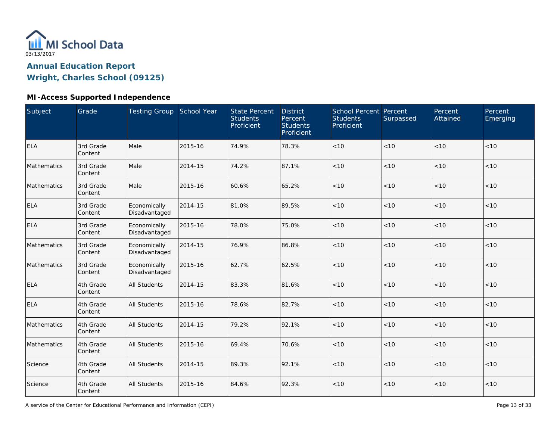

### **MI-Access Supported Independence**

| Subject     | Grade                | Testing Group School Year     |         | <b>State Percent</b><br><b>Students</b><br>Proficient | <b>District</b><br>Percent<br><b>Students</b><br>Proficient | <b>School Percent Percent</b><br><b>Students</b><br>Proficient | Surpassed | Percent<br>Attained | Percent<br>Emerging |
|-------------|----------------------|-------------------------------|---------|-------------------------------------------------------|-------------------------------------------------------------|----------------------------------------------------------------|-----------|---------------------|---------------------|
| <b>ELA</b>  | 3rd Grade<br>Content | Male                          | 2015-16 | 74.9%                                                 | 78.3%                                                       | < 10                                                           | < 10      | < 10                | < 10                |
| Mathematics | 3rd Grade<br>Content | Male                          | 2014-15 | 74.2%                                                 | 87.1%                                                       | $<10$                                                          | < 10      | < 10                | $<10$               |
| Mathematics | 3rd Grade<br>Content | Male                          | 2015-16 | 60.6%                                                 | 65.2%                                                       | < 10                                                           | < 10      | < 10                | < 10                |
| <b>ELA</b>  | 3rd Grade<br>Content | Economically<br>Disadvantaged | 2014-15 | 81.0%                                                 | 89.5%                                                       | $<10$                                                          | < 10      | $<10$               | $<10$               |
| <b>ELA</b>  | 3rd Grade<br>Content | Economically<br>Disadvantaged | 2015-16 | 78.0%                                                 | 75.0%                                                       | < 10                                                           | <10       | <10                 | < 10                |
| Mathematics | 3rd Grade<br>Content | Economically<br>Disadvantaged | 2014-15 | 76.9%                                                 | 86.8%                                                       | $<10$                                                          | < 10      | < 10                | $<10$               |
| Mathematics | 3rd Grade<br>Content | Economically<br>Disadvantaged | 2015-16 | 62.7%                                                 | 62.5%                                                       | < 10                                                           | < 10      | < 10                | < 10                |
| <b>ELA</b>  | 4th Grade<br>Content | <b>All Students</b>           | 2014-15 | 83.3%                                                 | 81.6%                                                       | < 10                                                           | < 10      | < 10                | < 10                |
| <b>ELA</b>  | 4th Grade<br>Content | <b>All Students</b>           | 2015-16 | 78.6%                                                 | 82.7%                                                       | $<10$                                                          | < 10      | < 10                | $<10$               |
| Mathematics | 4th Grade<br>Content | <b>All Students</b>           | 2014-15 | 79.2%                                                 | 92.1%                                                       | < 10                                                           | < 10      | < 10                | < 10                |
| Mathematics | 4th Grade<br>Content | <b>All Students</b>           | 2015-16 | 69.4%                                                 | 70.6%                                                       | $<10$                                                          | < 10      | < 10                | $<10$               |
| Science     | 4th Grade<br>Content | <b>All Students</b>           | 2014-15 | 89.3%                                                 | 92.1%                                                       | < 10                                                           | < 10      | < 10                | < 10                |
| Science     | 4th Grade<br>Content | <b>All Students</b>           | 2015-16 | 84.6%                                                 | 92.3%                                                       | $<10$                                                          | < 10      | < 10                | < 10                |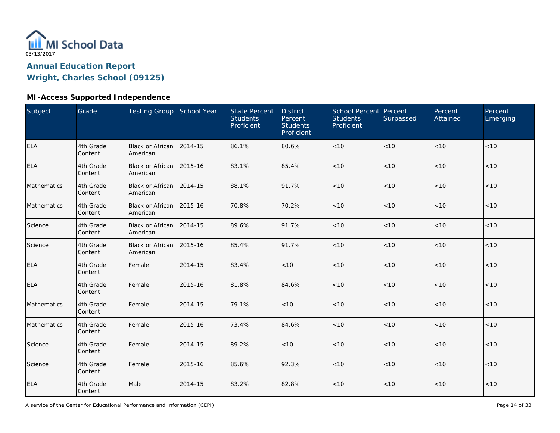

### **MI-Access Supported Independence**

| Subject     | Grade                | Testing Group School Year            |         | <b>State Percent</b><br><b>Students</b><br>Proficient | <b>District</b><br>Percent<br><b>Students</b><br>Proficient | School Percent Percent<br><b>Students</b><br>Proficient | Surpassed | Percent<br>Attained | Percent<br>Emerging |
|-------------|----------------------|--------------------------------------|---------|-------------------------------------------------------|-------------------------------------------------------------|---------------------------------------------------------|-----------|---------------------|---------------------|
| <b>ELA</b>  | 4th Grade<br>Content | <b>Black or African</b><br>American  | 2014-15 | 86.1%                                                 | 80.6%                                                       | < 10                                                    | < 10      | < 10                | < 10                |
| <b>ELA</b>  | 4th Grade<br>Content | Black or African<br>American         | 2015-16 | 83.1%                                                 | 85.4%                                                       | < 10                                                    | < 10      | < 10                | < 10                |
| Mathematics | 4th Grade<br>Content | Black or African 2014-15<br>American |         | 88.1%                                                 | 91.7%                                                       | < 10                                                    | < 10      | < 10                | < 10                |
| Mathematics | 4th Grade<br>Content | Black or African 2015-16<br>American |         | 70.8%                                                 | 70.2%                                                       | $<10$                                                   | < 10      | $<10$               | $<10$               |
| Science     | 4th Grade<br>Content | <b>Black or African</b><br>American  | 2014-15 | 89.6%                                                 | 91.7%                                                       | $<10$                                                   | $<10$     | $<10$               | $<10$               |
| Science     | 4th Grade<br>Content | <b>Black or African</b><br>American  | 2015-16 | 85.4%                                                 | 91.7%                                                       | $<10$                                                   | < 10      | < 10                | $<10$               |
| <b>ELA</b>  | 4th Grade<br>Content | Female                               | 2014-15 | 83.4%                                                 | < 10                                                        | < 10                                                    | < 10      | < 10                | < 10                |
| <b>ELA</b>  | 4th Grade<br>Content | Female                               | 2015-16 | 81.8%                                                 | 84.6%                                                       | < 10                                                    | < 10      | < 10                | < 10                |
| Mathematics | 4th Grade<br>Content | Female                               | 2014-15 | 79.1%                                                 | < 10                                                        | $<10$                                                   | < 10      | < 10                | $<10$               |
| Mathematics | 4th Grade<br>Content | Female                               | 2015-16 | 73.4%                                                 | 84.6%                                                       | < 10                                                    | < 10      | < 10                | < 10                |
| Science     | 4th Grade<br>Content | Female                               | 2014-15 | 89.2%                                                 | < 10                                                        | $<10$                                                   | < 10      | < 10                | $<10$               |
| Science     | 4th Grade<br>Content | Female                               | 2015-16 | 85.6%                                                 | 92.3%                                                       | < 10                                                    | < 10      | < 10                | < 10                |
| <b>ELA</b>  | 4th Grade<br>Content | Male                                 | 2014-15 | 83.2%                                                 | 82.8%                                                       | < 10                                                    | < 10      | < 10                | $<10$               |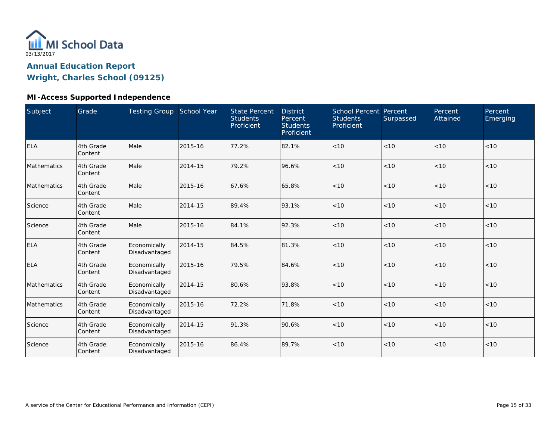

#### **MI-Access Supported Independence**

| Subject     | Grade                | Testing Group School Year     |         | <b>State Percent</b><br><b>Students</b><br>Proficient | <b>District</b><br>Percent<br><b>Students</b><br>Proficient | School Percent Percent<br><b>Students</b><br>Proficient | Surpassed | Percent<br>Attained | Percent<br>Emerging |
|-------------|----------------------|-------------------------------|---------|-------------------------------------------------------|-------------------------------------------------------------|---------------------------------------------------------|-----------|---------------------|---------------------|
| <b>ELA</b>  | 4th Grade<br>Content | Male                          | 2015-16 | 77.2%                                                 | 82.1%                                                       | < 10                                                    | < 10      | < 10                | < 10                |
| Mathematics | 4th Grade<br>Content | Male                          | 2014-15 | 79.2%                                                 | 96.6%                                                       | < 10                                                    | < 10      | < 10                | < 10                |
| Mathematics | 4th Grade<br>Content | Male                          | 2015-16 | 67.6%                                                 | 65.8%                                                       | < 10                                                    | < 10      | < 10                | < 10                |
| Science     | 4th Grade<br>Content | Male                          | 2014-15 | 89.4%                                                 | 93.1%                                                       | < 10                                                    | < 10      | < 10                | < 10                |
| Science     | 4th Grade<br>Content | Male                          | 2015-16 | 84.1%                                                 | 92.3%                                                       | < 10                                                    | < 10      | <10                 | < 10                |
| <b>ELA</b>  | 4th Grade<br>Content | Economically<br>Disadvantaged | 2014-15 | 84.5%                                                 | 81.3%                                                       | < 10                                                    | < 10      | < 10                | < 10                |
| <b>ELA</b>  | 4th Grade<br>Content | Economically<br>Disadvantaged | 2015-16 | 79.5%                                                 | 84.6%                                                       | < 10                                                    | < 10      | < 10                | < 10                |
| Mathematics | 4th Grade<br>Content | Economically<br>Disadvantaged | 2014-15 | 80.6%                                                 | 93.8%                                                       | < 10                                                    | < 10      | < 10                | < 10                |
| Mathematics | 4th Grade<br>Content | Economically<br>Disadvantaged | 2015-16 | 72.2%                                                 | 71.8%                                                       | < 10                                                    | < 10      | < 10                | < 10                |
| Science     | 4th Grade<br>Content | Economically<br>Disadvantaged | 2014-15 | 91.3%                                                 | 90.6%                                                       | < 10                                                    | < 10      | < 10                | < 10                |
| Science     | 4th Grade<br>Content | Economically<br>Disadvantaged | 2015-16 | 86.4%                                                 | 89.7%                                                       | < 10                                                    | < 10      | < 10                | < 10                |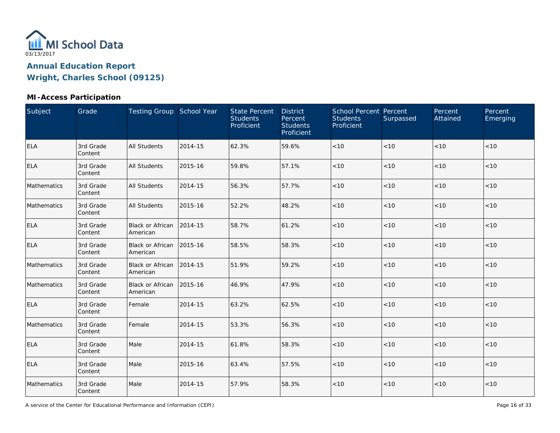

### **MI-Access Participation**

| Subject     | Grade                | Testing Group School Year           |         | <b>State Percent</b><br><b>Students</b><br>Proficient | <b>District</b><br>Percent<br><b>Students</b><br>Proficient | School Percent Percent<br><b>Students</b><br>Proficient | Surpassed | Percent<br>Attained | Percent<br>Emerging |
|-------------|----------------------|-------------------------------------|---------|-------------------------------------------------------|-------------------------------------------------------------|---------------------------------------------------------|-----------|---------------------|---------------------|
| <b>ELA</b>  | 3rd Grade<br>Content | <b>All Students</b>                 | 2014-15 | 62.3%                                                 | 59.6%                                                       | $<10$                                                   | < 10      | < 10                | < 10                |
| <b>ELA</b>  | 3rd Grade<br>Content | <b>All Students</b>                 | 2015-16 | 59.8%                                                 | 57.1%                                                       | $<10$                                                   | < 10      | < 10                | < 10                |
| Mathematics | 3rd Grade<br>Content | <b>All Students</b>                 | 2014-15 | 56.3%                                                 | 57.7%                                                       | $<10$                                                   | < 10      | < 10                | < 10                |
| Mathematics | 3rd Grade<br>Content | <b>All Students</b>                 | 2015-16 | 52.2%                                                 | 48.2%                                                       | < 10                                                    | < 10      | < 10                | < 10                |
| <b>ELA</b>  | 3rd Grade<br>Content | <b>Black or African</b><br>American | 2014-15 | 58.7%                                                 | 61.2%                                                       | $<10$                                                   | $<10$     | < 10                | $<10$               |
| <b>ELA</b>  | 3rd Grade<br>Content | Black or African<br>American        | 2015-16 | 58.5%                                                 | 58.3%                                                       | $<10$                                                   | < 10      | < 10                | < 10                |
| Mathematics | 3rd Grade<br>Content | <b>Black or African</b><br>American | 2014-15 | 51.9%                                                 | 59.2%                                                       | $<10$                                                   | < 10      | < 10                | < 10                |
| Mathematics | 3rd Grade<br>Content | <b>Black or African</b><br>American | 2015-16 | 46.9%                                                 | 47.9%                                                       | < 10                                                    | < 10      | < 10                | < 10                |
| <b>ELA</b>  | 3rd Grade<br>Content | Female                              | 2014-15 | 63.2%                                                 | 62.5%                                                       | $<10$                                                   | < 10      | < 10                | < 10                |
| Mathematics | 3rd Grade<br>Content | Female                              | 2014-15 | 53.3%                                                 | 56.3%                                                       | $<10$                                                   | < 10      | < 10                | < 10                |
| ELA         | 3rd Grade<br>Content | Male                                | 2014-15 | 61.8%                                                 | 58.3%                                                       | $<10$                                                   | < 10      | < 10                | < 10                |
| <b>ELA</b>  | 3rd Grade<br>Content | Male                                | 2015-16 | 63.4%                                                 | 57.5%                                                       | $<10$                                                   | < 10      | < 10                | < 10                |
| Mathematics | 3rd Grade<br>Content | Male                                | 2014-15 | 57.9%                                                 | 58.3%                                                       | < 10                                                    | < 10      | < 10                | < 10                |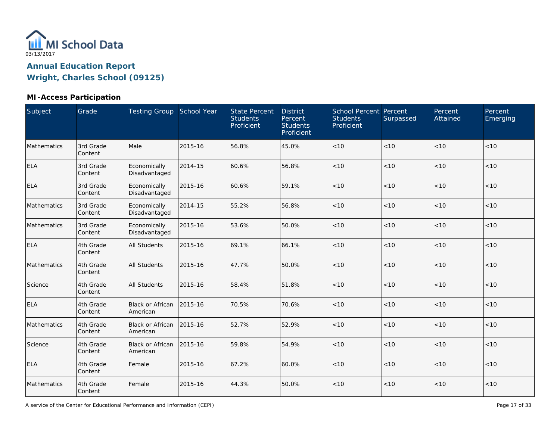

### **MI-Access Participation**

| Subject     | Grade                | Testing Group School Year           |         | <b>State Percent</b><br><b>Students</b><br>Proficient | <b>District</b><br>Percent<br><b>Students</b><br>Proficient | School Percent Percent<br><b>Students</b><br>Proficient | Surpassed | Percent<br>Attained | Percent<br>Emerging |
|-------------|----------------------|-------------------------------------|---------|-------------------------------------------------------|-------------------------------------------------------------|---------------------------------------------------------|-----------|---------------------|---------------------|
| Mathematics | 3rd Grade<br>Content | Male                                | 2015-16 | 56.8%                                                 | 45.0%                                                       | $<10$                                                   | < 10      | < 10                | < 10                |
| <b>ELA</b>  | 3rd Grade<br>Content | Economically<br>Disadvantaged       | 2014-15 | 60.6%                                                 | 56.8%                                                       | $<10$                                                   | < 10      | < 10                | < 10                |
| <b>ELA</b>  | 3rd Grade<br>Content | Economically<br>Disadvantaged       | 2015-16 | 60.6%                                                 | 59.1%                                                       | $<10$                                                   | $<10$     | < 10                | < 10                |
| Mathematics | 3rd Grade<br>Content | Economically<br>Disadvantaged       | 2014-15 | 55.2%                                                 | 56.8%                                                       | < 10                                                    | < 10      | < 10                | < 10                |
| Mathematics | 3rd Grade<br>Content | Economically<br>Disadvantaged       | 2015-16 | 53.6%                                                 | 50.0%                                                       | < 10                                                    | < 10      | < 10                | < 10                |
| <b>ELA</b>  | 4th Grade<br>Content | <b>All Students</b>                 | 2015-16 | 69.1%                                                 | 66.1%                                                       | < 10                                                    | < 10      | < 10                | < 10                |
| Mathematics | 4th Grade<br>Content | <b>All Students</b>                 | 2015-16 | 47.7%                                                 | 50.0%                                                       | $<10$                                                   | < 10      | < 10                | < 10                |
| Science     | 4th Grade<br>Content | <b>All Students</b>                 | 2015-16 | 58.4%                                                 | 51.8%                                                       | < 10                                                    | < 10      | < 10                | < 10                |
| <b>ELA</b>  | 4th Grade<br>Content | Black or African<br>American        | 2015-16 | 70.5%                                                 | 70.6%                                                       | $<10$                                                   | < 10      | < 10                | < 10                |
| Mathematics | 4th Grade<br>Content | <b>Black or African</b><br>American | 2015-16 | 52.7%                                                 | 52.9%                                                       | < 10                                                    | < 10      | < 10                | < 10                |
| Science     | 4th Grade<br>Content | <b>Black or African</b><br>American | 2015-16 | 59.8%                                                 | 54.9%                                                       | < 10                                                    | < 10      | < 10                | < 10                |
| <b>ELA</b>  | 4th Grade<br>Content | Female                              | 2015-16 | 67.2%                                                 | 60.0%                                                       | < 10                                                    | < 10      | < 10                | < 10                |
| Mathematics | 4th Grade<br>Content | Female                              | 2015-16 | 44.3%                                                 | 50.0%                                                       | < 10                                                    | < 10      | < 10                | < 10                |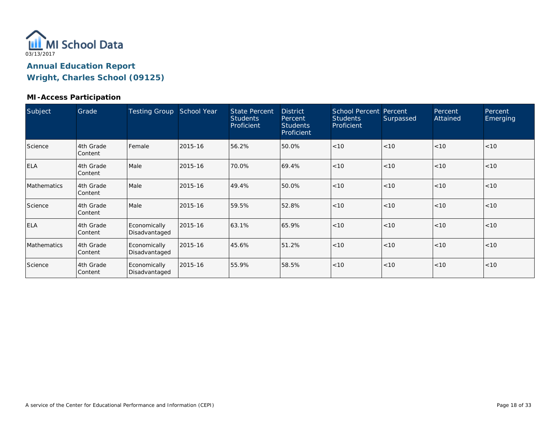

#### **MI-Access Participation**

| Subject     | Grade                | <b>Testing Group</b>          | School Year | <b>State Percent</b><br><b>Students</b><br>Proficient | <b>District</b><br>Percent<br><b>Students</b><br>Proficient | <b>School Percent Percent</b><br><b>Students</b><br>Proficient | Surpassed | Percent<br>Attained | Percent<br>Emerging |
|-------------|----------------------|-------------------------------|-------------|-------------------------------------------------------|-------------------------------------------------------------|----------------------------------------------------------------|-----------|---------------------|---------------------|
| Science     | 4th Grade<br>Content | Female                        | 2015-16     | 56.2%                                                 | 50.0%                                                       | < 10                                                           | < 10      | < 10                | < 10                |
| <b>ELA</b>  | 4th Grade<br>Content | Male                          | 2015-16     | 70.0%                                                 | 69.4%                                                       | < 10                                                           | < 10      | < 10                | < 10                |
| Mathematics | 4th Grade<br>Content | Male                          | 2015-16     | 49.4%                                                 | 50.0%                                                       | < 10                                                           | < 10      | < 10                | < 10                |
| Science     | 4th Grade<br>Content | Male                          | 2015-16     | 59.5%                                                 | 52.8%                                                       | < 10                                                           | < 10      | < 10                | < 10                |
| <b>ELA</b>  | 4th Grade<br>Content | Economically<br>Disadvantaged | 2015-16     | 63.1%                                                 | 65.9%                                                       | < 10                                                           | < 10      | < 10                | < 10                |
| Mathematics | 4th Grade<br>Content | Economically<br>Disadvantaged | 2015-16     | 45.6%                                                 | 51.2%                                                       | < 10                                                           | < 10      | < 10                | < 10                |
| Science     | 4th Grade<br>Content | Economically<br>Disadvantaged | 2015-16     | 55.9%                                                 | 58.5%                                                       | < 10                                                           | < 10      | < 10                | < 10                |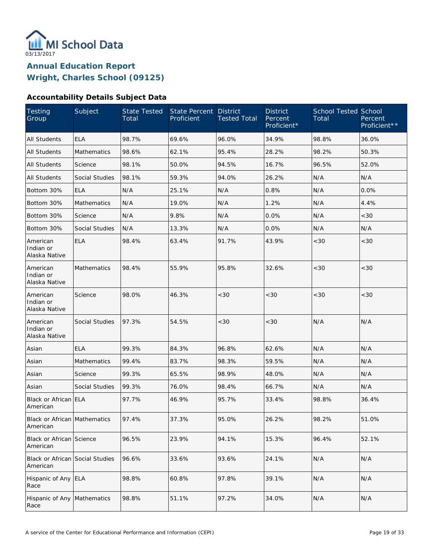

### **Accountability Details Subject Data**

| Testing<br>Group                                   | Subject               | <b>State Tested</b><br>Total | State Percent<br>Proficient | <b>District</b><br><b>Tested Total</b> | <b>District</b><br>Percent<br>Proficient* | <b>School Tested School</b><br>Total | Percent<br>Proficient** |
|----------------------------------------------------|-----------------------|------------------------------|-----------------------------|----------------------------------------|-------------------------------------------|--------------------------------------|-------------------------|
| <b>All Students</b>                                | <b>ELA</b>            | 98.7%                        | 69.6%                       | 96.0%                                  | 34.9%                                     | 98.8%                                | 36.0%                   |
| <b>All Students</b>                                | Mathematics           | 98.6%                        | 62.1%                       | 95.4%                                  | 28.2%                                     | 98.2%                                | 50.3%                   |
| <b>All Students</b>                                | Science               | 98.1%                        | 50.0%                       | 94.5%                                  | 16.7%                                     | 96.5%                                | 52.0%                   |
| All Students                                       | Social Studies        | 98.1%                        | 59.3%                       | 94.0%                                  | 26.2%                                     | N/A                                  | N/A                     |
| Bottom 30%                                         | <b>ELA</b>            | N/A                          | 25.1%                       | N/A                                    | 0.8%                                      | N/A                                  | 0.0%                    |
| Bottom 30%                                         | Mathematics           | N/A                          | 19.0%                       | N/A                                    | 1.2%                                      | N/A                                  | 4.4%                    |
| Bottom 30%                                         | Science               | N/A                          | 9.8%                        | N/A                                    | 0.0%                                      | N/A                                  | < 30                    |
| Bottom 30%                                         | Social Studies        | N/A                          | 13.3%                       | N/A                                    | 0.0%                                      | N/A                                  | N/A                     |
| American<br>Indian or<br>Alaska Native             | <b>ELA</b>            | 98.4%                        | 63.4%                       | 91.7%                                  | 43.9%                                     | <30                                  | <30                     |
| American<br>Indian or<br>Alaska Native             | Mathematics           | 98.4%                        | 55.9%                       | 95.8%                                  | 32.6%                                     | < 30                                 | <30                     |
| American<br>Indian or<br>Alaska Native             | Science               | 98.0%                        | 46.3%                       | <30                                    | <30                                       | <30                                  | < 30                    |
| American<br>Indian or<br>Alaska Native             | Social Studies        | 97.3%                        | 54.5%                       | <30                                    | <30                                       | N/A                                  | N/A                     |
| Asian                                              | <b>ELA</b>            | 99.3%                        | 84.3%                       | 96.8%                                  | 62.6%                                     | N/A                                  | N/A                     |
| Asian                                              | Mathematics           | 99.4%                        | 83.7%                       | 98.3%                                  | 59.5%                                     | N/A                                  | N/A                     |
| Asian                                              | Science               | 99.3%                        | 65.5%                       | 98.9%                                  | 48.0%                                     | N/A                                  | N/A                     |
| Asian                                              | <b>Social Studies</b> | 99.3%                        | 76.0%                       | 98.4%                                  | 66.7%                                     | N/A                                  | N/A                     |
| Black or African ELA<br>American                   |                       | 97.7%                        | 46.9%                       | 95.7%                                  | 33.4%                                     | 98.8%                                | 36.4%                   |
| Black or African Mathematics<br>American           |                       | 97.4%                        | 37.3%                       | 95.0%                                  | 26.2%                                     | 98.2%                                | 51.0%                   |
| Black or African Science<br>American               |                       | 96.5%                        | 23.9%                       | 94.1%                                  | 15.3%                                     | 96.4%                                | 52.1%                   |
| <b>Black or African Social Studies</b><br>American |                       | 96.6%                        | 33.6%                       | 93.6%                                  | 24.1%                                     | N/A                                  | N/A                     |
| Hispanic of Any<br>Race                            | <b>ELA</b>            | 98.8%                        | 60.8%                       | 97.8%                                  | 39.1%                                     | N/A                                  | N/A                     |
| Hispanic of Any<br>Race                            | Mathematics           | 98.8%                        | 51.1%                       | 97.2%                                  | 34.0%                                     | N/A                                  | N/A                     |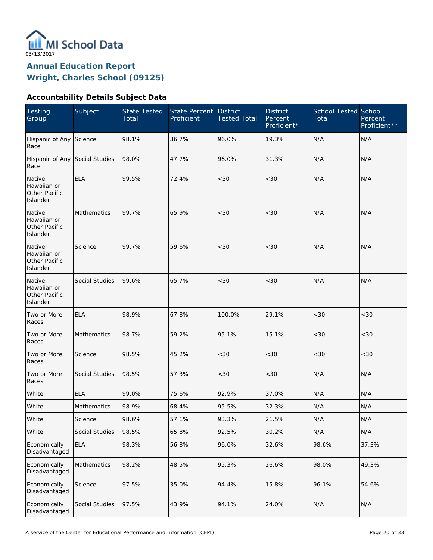

### **Accountability Details Subject Data**

| <b>Testing</b><br>Group                            | Subject        | <b>State Tested</b><br>Total | <b>State Percent</b><br>Proficient | <b>District</b><br><b>Tested Total</b> | <b>District</b><br>Percent<br>Proficient* | <b>School Tested School</b><br>Total | Percent<br>Proficient** |
|----------------------------------------------------|----------------|------------------------------|------------------------------------|----------------------------------------|-------------------------------------------|--------------------------------------|-------------------------|
| Hispanic of Any Science<br>Race                    |                | 98.1%                        | 36.7%                              | 96.0%                                  | 19.3%                                     | N/A                                  | N/A                     |
| Hispanic of Any Social Studies<br>Race             |                | 98.0%                        | 47.7%                              | 96.0%                                  | 31.3%                                     | N/A                                  | N/A                     |
| Native<br>Hawaiian or<br>Other Pacific<br>Islander | <b>ELA</b>     | 99.5%                        | 72.4%                              | <30                                    | <30                                       | N/A                                  | N/A                     |
| Native<br>Hawaiian or<br>Other Pacific<br>Islander | Mathematics    | 99.7%                        | 65.9%                              | <30                                    | <30                                       | N/A                                  | N/A                     |
| Native<br>Hawaiian or<br>Other Pacific<br>Islander | Science        | 99.7%                        | 59.6%                              | <30                                    | < 30                                      | N/A                                  | N/A                     |
| Native<br>Hawaiian or<br>Other Pacific<br>Islander | Social Studies | 99.6%                        | 65.7%                              | <30                                    | < 30                                      | N/A                                  | N/A                     |
| Two or More<br>Races                               | <b>ELA</b>     | 98.9%                        | 67.8%                              | 100.0%                                 | 29.1%                                     | <30                                  | <30                     |
| Two or More<br>Races                               | Mathematics    | 98.7%                        | 59.2%                              | 95.1%                                  | 15.1%                                     | <30                                  | <30                     |
| Two or More<br>Races                               | Science        | 98.5%                        | 45.2%                              | <30                                    | <30                                       | < 30                                 | <30                     |
| Two or More<br>Races                               | Social Studies | 98.5%                        | 57.3%                              | <30                                    | < 30                                      | N/A                                  | N/A                     |
| White                                              | <b>ELA</b>     | 99.0%                        | 75.6%                              | 92.9%                                  | 37.0%                                     | N/A                                  | N/A                     |
| White                                              | Mathematics    | 98.9%                        | 68.4%                              | 95.5%                                  | 32.3%                                     | N/A                                  | N/A                     |
| White                                              | Science        | 98.6%                        | 57.1%                              | 93.3%                                  | 21.5%                                     | $\mathsf{N}/\mathsf{A}$              | N/A                     |
| White                                              | Social Studies | 98.5%                        | 65.8%                              | 92.5%                                  | 30.2%                                     | N/A                                  | N/A                     |
| Economically<br>Disadvantaged                      | <b>ELA</b>     | 98.3%                        | 56.8%                              | 96.0%                                  | 32.6%                                     | 98.6%                                | 37.3%                   |
| Economically<br>Disadvantaged                      | Mathematics    | 98.2%                        | 48.5%                              | 95.3%                                  | 26.6%                                     | 98.0%                                | 49.3%                   |
| Economically<br>Disadvantaged                      | Science        | 97.5%                        | 35.0%                              | 94.4%                                  | 15.8%                                     | 96.1%                                | 54.6%                   |
| Economically<br>Disadvantaged                      | Social Studies | 97.5%                        | 43.9%                              | 94.1%                                  | 24.0%                                     | N/A                                  | N/A                     |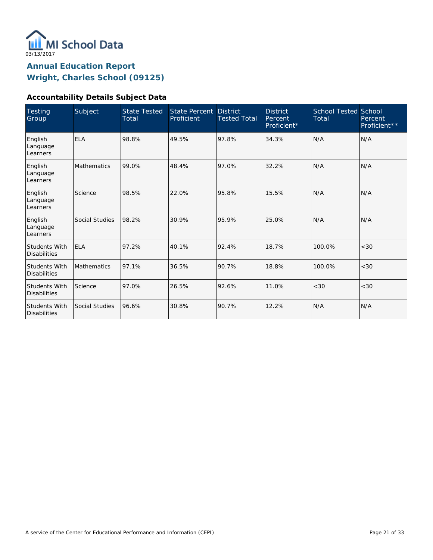

### **Accountability Details Subject Data**

| Testing<br>Group                            | Subject            | <b>State Tested</b><br>Total | <b>State Percent</b><br>Proficient | <b>District</b><br><b>Tested Total</b> | <b>District</b><br>Percent<br>Proficient* | <b>School Tested School</b><br>Total | Percent<br>Proficient <sup>**</sup> |
|---------------------------------------------|--------------------|------------------------------|------------------------------------|----------------------------------------|-------------------------------------------|--------------------------------------|-------------------------------------|
| English<br>Language<br>Learners             | <b>ELA</b>         | 98.8%                        | 49.5%                              | 97.8%                                  | 34.3%                                     | N/A                                  | N/A                                 |
| English<br>Language<br>Learners             | <b>Mathematics</b> | 99.0%                        | 48.4%                              | 97.0%                                  | 32.2%                                     | N/A                                  | N/A                                 |
| English<br>Language<br>Learners             | Science            | 98.5%                        | 22.0%                              | 95.8%                                  | 15.5%                                     | N/A                                  | N/A                                 |
| English<br>Language<br>Learners             | Social Studies     | 98.2%                        | 30.9%                              | 95.9%                                  | 25.0%                                     | N/A                                  | N/A                                 |
| <b>Students With</b><br><b>Disabilities</b> | <b>ELA</b>         | 97.2%                        | 40.1%                              | 92.4%                                  | 18.7%                                     | 100.0%                               | <30                                 |
| <b>Students With</b><br><b>Disabilities</b> | Mathematics        | 97.1%                        | 36.5%                              | 90.7%                                  | 18.8%                                     | 100.0%                               | <30                                 |
| <b>Students With</b><br><b>Disabilities</b> | Science            | 97.0%                        | 26.5%                              | 92.6%                                  | 11.0%                                     | < 30                                 | <30                                 |
| Students With<br><b>Disabilities</b>        | Social Studies     | 96.6%                        | 30.8%                              | 90.7%                                  | 12.2%                                     | N/A                                  | N/A                                 |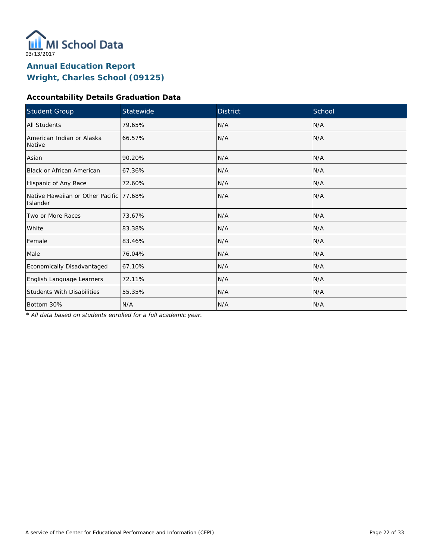

### **Accountability Details Graduation Data**

| Student Group                                        | Statewide | <b>District</b> | School |
|------------------------------------------------------|-----------|-----------------|--------|
| All Students                                         | 79.65%    | N/A             | N/A    |
| American Indian or Alaska<br>Native                  | 66.57%    | N/A             | N/A    |
| Asian                                                | 90.20%    | N/A             | N/A    |
| <b>Black or African American</b>                     | 67.36%    | N/A             | N/A    |
| Hispanic of Any Race                                 | 72.60%    | N/A             | N/A    |
| Native Hawaiian or Other Pacific 177.68%<br>Islander |           | N/A             | N/A    |
| Two or More Races                                    | 73.67%    | N/A             | N/A    |
| White                                                | 83.38%    | N/A             | N/A    |
| Female                                               | 83.46%    | N/A             | N/A    |
| Male                                                 | 76.04%    | N/A             | N/A    |
| Economically Disadvantaged                           | 67.10%    | N/A             | N/A    |
| English Language Learners                            | 72.11%    | N/A             | N/A    |
| <b>Students With Disabilities</b>                    | 55.35%    | N/A             | N/A    |
| Bottom 30%                                           | N/A       | N/A             | N/A    |

*\* All data based on students enrolled for a full academic year.*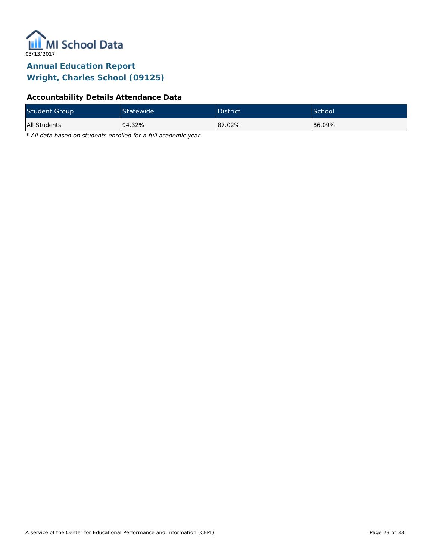

### **Accountability Details Attendance Data**

| <b>Student Group</b> | Statewide | <b>District</b> | School <sup>1</sup> |
|----------------------|-----------|-----------------|---------------------|
| All Students         | 94.32%    | 87.02%          | 86.09%              |

*\* All data based on students enrolled for a full academic year.*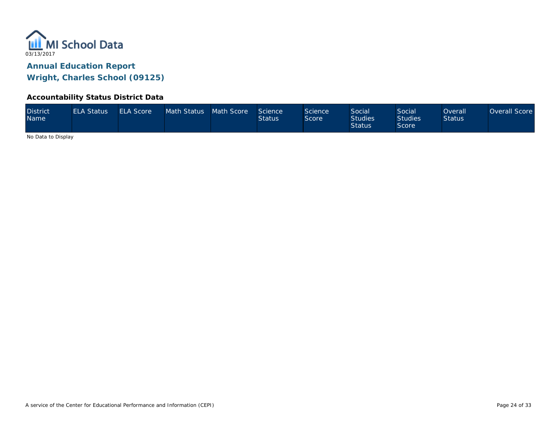

#### **Accountability Status District Data**

| <b>District</b><br><b>Name</b> | <b>ELA Status</b> | <b>ELA Score</b> | Math Status Math Score |  | Science<br><b>Status</b> | Science<br>Score | Social<br><b>Studies</b><br><b>Status</b> | <b>Social</b><br><b>Studies</b><br>Score | Overall<br><b>Status</b> | Overall Score |
|--------------------------------|-------------------|------------------|------------------------|--|--------------------------|------------------|-------------------------------------------|------------------------------------------|--------------------------|---------------|
|--------------------------------|-------------------|------------------|------------------------|--|--------------------------|------------------|-------------------------------------------|------------------------------------------|--------------------------|---------------|

No Data to Display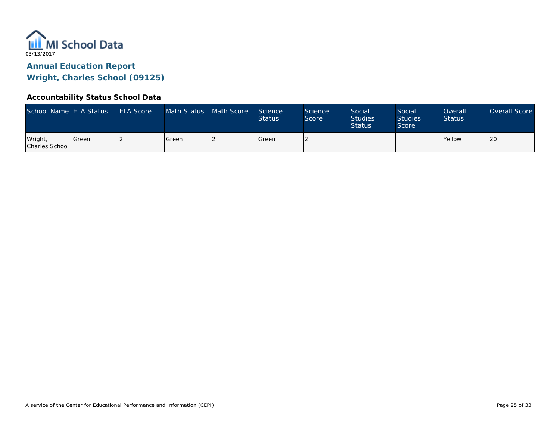

#### **Accountability Status School Data**

| School Name ELA Status    |         | <b>ELA Score</b> | Math Status | Math Score | Science<br><b>Status</b> | <b>Science</b><br>Score | Social<br><b>Studies</b><br><b>Status</b> | Social<br><b>Studies</b><br>Score | Overall<br><b>Status</b> | Overall Score |
|---------------------------|---------|------------------|-------------|------------|--------------------------|-------------------------|-------------------------------------------|-----------------------------------|--------------------------|---------------|
| Wright,<br>Charles School | l Green |                  | l Green     |            | <b>Green</b>             |                         |                                           |                                   | <b>Yellow</b>            | ∩∩ا<br>∣∠∪    |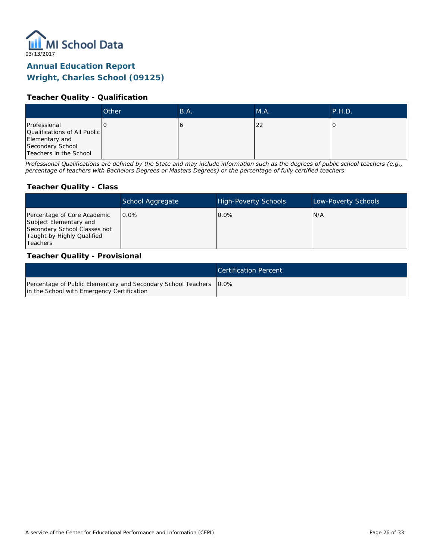

### **Teacher Quality - Qualification**

|                                                                                                              | Other | B.A. | M.A. | P.H.D. |
|--------------------------------------------------------------------------------------------------------------|-------|------|------|--------|
| Professional<br>Qualifications of All Public<br>Elementary and<br>Secondary School<br>Teachers in the School |       | τ.   | 22   |        |

*Professional Qualifications are defined by the State and may include information such as the degrees of public school teachers (e.g., percentage of teachers with Bachelors Degrees or Masters Degrees) or the percentage of fully certified teachers*

#### **Teacher Quality - Class**

|                                                                                                                                        | School Aggregate | <b>High-Poverty Schools</b> | Low-Poverty Schools |
|----------------------------------------------------------------------------------------------------------------------------------------|------------------|-----------------------------|---------------------|
| Percentage of Core Academic<br>Subject Elementary and<br>Secondary School Classes not<br>Taught by Highly Qualified<br><b>Teachers</b> | $0.0\%$          | $0.0\%$                     | N/A                 |

#### **Teacher Quality - Provisional**

|                                                                                                                    | Certification Percent |
|--------------------------------------------------------------------------------------------------------------------|-----------------------|
| Percentage of Public Elementary and Secondary School Teachers   0.0%<br>in the School with Emergency Certification |                       |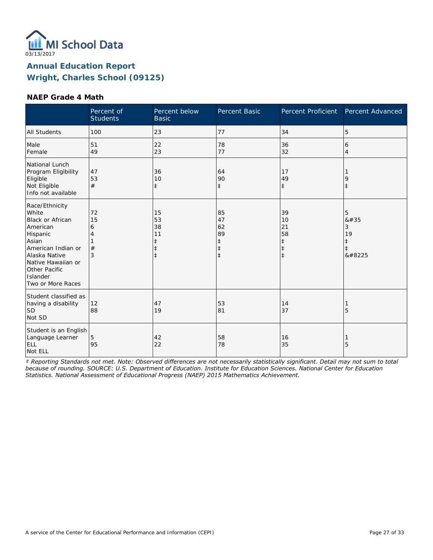

#### **NAEP Grade 4 Math**

|                                                                                                                                                                                                    | Percent of<br><b>Students</b> | Percent below<br><b>Basic</b>                                  | Percent Basic                                         | Percent Proficient                                             | Percent Advanced                                      |
|----------------------------------------------------------------------------------------------------------------------------------------------------------------------------------------------------|-------------------------------|----------------------------------------------------------------|-------------------------------------------------------|----------------------------------------------------------------|-------------------------------------------------------|
| <b>All Students</b>                                                                                                                                                                                | 100                           | 23                                                             | 77                                                    | 34                                                             | 5                                                     |
| Male<br>Female                                                                                                                                                                                     | 51<br>49                      | 22<br>23                                                       | 78<br>77                                              | 36<br>32                                                       | 6<br>$\overline{4}$                                   |
| National Lunch<br>Program Eligibility<br>Eligible<br>Not Eligible<br>Info not available                                                                                                            | 47<br>53<br>#                 | 36<br>10<br>$\ddagger$                                         | 64<br>90<br>$\ddagger$                                | 17<br>49<br>$\ddagger$                                         | 9<br>$\ddagger$                                       |
| Race/Ethnicity<br>White<br><b>Black or African</b><br>American<br>Hispanic<br>Asian<br>American Indian or<br>Alaska Native<br>Native Hawaiian or<br>Other Pacific<br>Islander<br>Two or More Races | 72<br>15<br>6<br>4<br>#<br>3  | 15<br>53<br>38<br>11<br>$\ddagger$<br>$\ddagger$<br>$\ddagger$ | 85<br>47<br>62<br>89<br>ŧ<br>$\ddagger$<br>$\ddagger$ | 39<br>10<br>21<br>58<br>$\ddagger$<br>$\ddagger$<br>$\ddagger$ | 5<br>8#35<br>3<br>19<br>$\ddagger$<br>$\ddagger$<br>‡ |
| Student classified as<br>having a disability<br><b>SD</b><br>Not SD                                                                                                                                | 12<br>88                      | 47<br>19                                                       | 53<br>81                                              | 14<br>37                                                       | 5                                                     |
| Student is an English<br>Language Learner<br>ELL<br>Not ELL                                                                                                                                        | 5<br>95                       | 42<br>22                                                       | 58<br>78                                              | 16<br>35                                                       | 5                                                     |

*‡ Reporting Standards not met. Note: Observed differences are not necessarily statistically significant. Detail may not sum to total because of rounding. SOURCE: U.S. Department of Education. Institute for Education Sciences. National Center for Education Statistics. National Assessment of Educational Progress (NAEP) 2015 Mathematics Achievement.*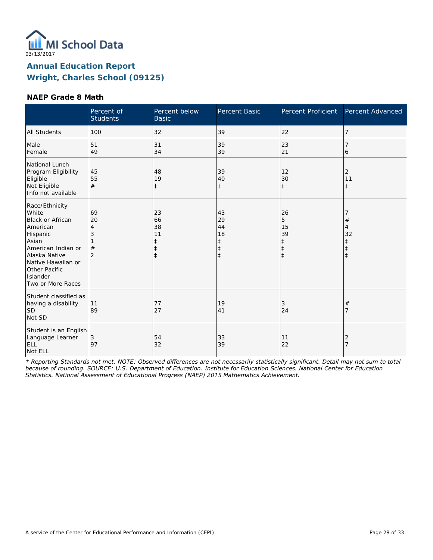

#### **NAEP Grade 8 Math**

|                                                                                                                                                                                                    | Percent of<br><b>Students</b>             | Percent below<br><b>Basic</b>                                  | Percent Basic                                         | Percent Proficient                                            | Percent Advanced                                                       |
|----------------------------------------------------------------------------------------------------------------------------------------------------------------------------------------------------|-------------------------------------------|----------------------------------------------------------------|-------------------------------------------------------|---------------------------------------------------------------|------------------------------------------------------------------------|
| <b>All Students</b>                                                                                                                                                                                | 100                                       | 32                                                             | 39                                                    | 22                                                            | 7                                                                      |
| Male<br>Female                                                                                                                                                                                     | 51<br>49                                  | 31<br>34                                                       | 39<br>39                                              | 23<br>21                                                      | 6                                                                      |
| National Lunch<br>Program Eligibility<br>Eligible<br>Not Eligible<br>Info not available                                                                                                            | 45<br>55<br>#                             | 48<br>19<br>$\ddagger$                                         | 39<br>40<br>$\ddagger$                                | 12<br>30<br>$\ddagger$                                        | 2<br>11<br>$\ddagger$                                                  |
| Race/Ethnicity<br>White<br><b>Black or African</b><br>American<br>Hispanic<br>Asian<br>American Indian or<br>Alaska Native<br>Native Hawaiian or<br>Other Pacific<br>Islander<br>Two or More Races | 69<br>20<br>4<br>3<br>#<br>$\overline{2}$ | 23<br>66<br>38<br>11<br>$\ddagger$<br>$\ddagger$<br>$\ddagger$ | 43<br>29<br>44<br>18<br>ŧ<br>$\ddagger$<br>$\ddagger$ | 26<br>5<br>15<br>39<br>$\ddagger$<br>$\ddagger$<br>$\ddagger$ | $\#$<br>$\overline{4}$<br>32<br>$\ddagger$<br>$\ddagger$<br>$\ddagger$ |
| Student classified as<br>having a disability<br><b>SD</b><br>Not SD                                                                                                                                | 11<br>89                                  | 77<br>27                                                       | 19<br>41                                              | 3<br>24                                                       | $\#$<br>7                                                              |
| Student is an English<br>Language Learner<br>ELL<br>Not ELL                                                                                                                                        | 3<br>97                                   | 54<br>32                                                       | 33<br>39                                              | 11<br>22                                                      | 2<br>$\overline{7}$                                                    |

*‡ Reporting Standards not met. NOTE: Observed differences are not necessarily statistically significant. Detail may not sum to total because of rounding. SOURCE: U.S. Department of Education. Institute for Education Sciences. National Center for Education Statistics. National Assessment of Educational Progress (NAEP) 2015 Mathematics Achievement.*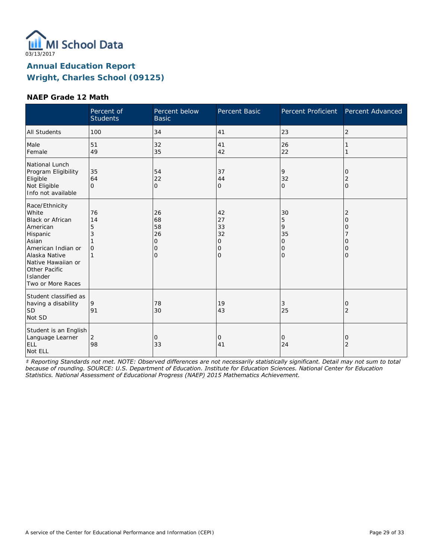

#### **NAEP Grade 12 Math**

|                                                                                                                                                                                                    | Percent of<br><b>Students</b>  | Percent below<br><b>Basic</b>                   | Percent Basic                                            | Percent Proficient                                          | Percent Advanced                                      |
|----------------------------------------------------------------------------------------------------------------------------------------------------------------------------------------------------|--------------------------------|-------------------------------------------------|----------------------------------------------------------|-------------------------------------------------------------|-------------------------------------------------------|
| <b>All Students</b>                                                                                                                                                                                | 100                            | 34                                              | 41                                                       | 23                                                          | $\overline{2}$                                        |
| Male<br>Female                                                                                                                                                                                     | 51<br>49                       | 32<br>35                                        | 41<br>42                                                 | 26<br>22                                                    |                                                       |
| National Lunch<br>Program Eligibility<br>Eligible<br>Not Eligible<br>Info not available                                                                                                            | 35<br>64<br>$\Omega$           | 54<br>22<br>$\overline{O}$                      | 37<br>44<br>$\overline{O}$                               | 9<br>32<br>$\mathbf{O}$                                     | 0<br>$\overline{2}$<br>$\overline{O}$                 |
| Race/Ethnicity<br>White<br><b>Black or African</b><br>American<br>Hispanic<br>Asian<br>American Indian or<br>Alaska Native<br>Native Hawaiian or<br>Other Pacific<br>Islander<br>Two or More Races | 76<br>14<br>5<br>3<br>$\Omega$ | 26<br>68<br>58<br>26<br>0<br>0<br>$\mathcal{O}$ | 42<br>27<br>33<br>32<br>0<br>$\mathbf 0$<br>$\mathbf{O}$ | 30<br>5<br>9<br>35<br>$\overline{O}$<br>0<br>$\overline{O}$ | $\overline{2}$<br>$\Omega$<br>0<br>Ω<br>0<br>$\Omega$ |
| Student classified as<br>having a disability<br><b>SD</b><br>Not SD                                                                                                                                | 9<br>91                        | 78<br>30                                        | 19<br>43                                                 | 3<br>25                                                     | 0<br>2                                                |
| Student is an English<br>Language Learner<br>ELL<br>Not ELL                                                                                                                                        | $\overline{2}$<br>98           | 0<br>33                                         | 0<br>41                                                  | $\mathbf{O}$<br>24                                          | 0<br>$\overline{2}$                                   |

*‡ Reporting Standards not met. NOTE: Observed differences are not necessarily statistically significant. Detail may not sum to total because of rounding. SOURCE: U.S. Department of Education. Institute for Education Sciences. National Center for Education Statistics. National Assessment of Educational Progress (NAEP) 2015 Mathematics Achievement.*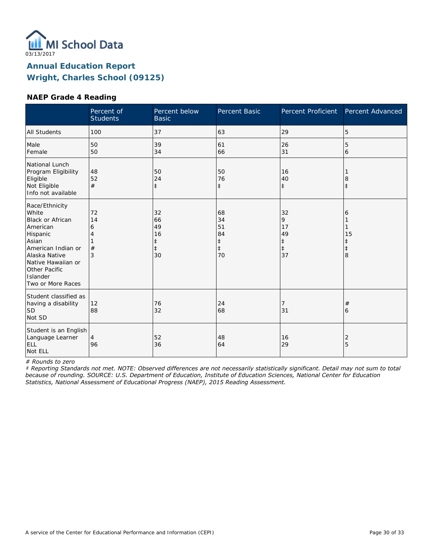

#### **NAEP Grade 4 Reading**

|                                                                                                                                                                                             | Percent of<br><b>Students</b> | Percent below<br><b>Basic</b>                 | Percent Basic                                          | Percent Proficient                           | Percent Advanced                |
|---------------------------------------------------------------------------------------------------------------------------------------------------------------------------------------------|-------------------------------|-----------------------------------------------|--------------------------------------------------------|----------------------------------------------|---------------------------------|
| <b>All Students</b>                                                                                                                                                                         | 100                           | 37                                            | 63                                                     | 29                                           | 5                               |
| Male<br>Female                                                                                                                                                                              | 50<br>50                      | 39<br>34                                      | 61<br>66                                               | 26<br>31                                     | 5<br>6                          |
| National Lunch<br>Program Eligibility<br>Eligible<br>Not Eligible<br>Info not available                                                                                                     | 48<br>52<br>#                 | 50<br>24<br>$\ddagger$                        | 50<br>76<br>$\ddagger$                                 | 16<br>40<br>$\ddagger$                       | 8<br>$\ddagger$                 |
| Race/Ethnicity<br>White<br>Black or African<br>American<br>Hispanic<br>Asian<br>American Indian or<br>Alaska Native<br>Native Hawaiian or<br>Other Pacific<br>Islander<br>Two or More Races | 72<br>14<br>6<br>#<br>3       | 32<br>66<br>49<br>16<br>ŧ<br>$\ddagger$<br>30 | 68<br>34<br>51<br>84<br>$\ddagger$<br>$\ddagger$<br>70 | 32<br>9<br>17<br>49<br>‡<br>$\ddagger$<br>37 | 6<br>15<br>ŧ<br>$\ddagger$<br>8 |
| Student classified as<br>having a disability<br><b>SD</b><br>Not SD                                                                                                                         | 12<br>88                      | 76<br>32                                      | 24<br>68                                               | 7<br>31                                      | #<br>6                          |
| Student is an English<br>Language Learner<br>ELL<br>Not ELL                                                                                                                                 | 4<br>96                       | 52<br>36                                      | 48<br>64                                               | 16<br>29                                     | 2<br>5                          |

*# Rounds to zero*

*‡ Reporting Standards not met. NOTE: Observed differences are not necessarily statistically significant. Detail may not sum to total because of rounding. SOURCE: U.S. Department of Education, Institute of Education Sciences, National Center for Education Statistics, National Assessment of Educational Progress (NAEP), 2015 Reading Assessment.*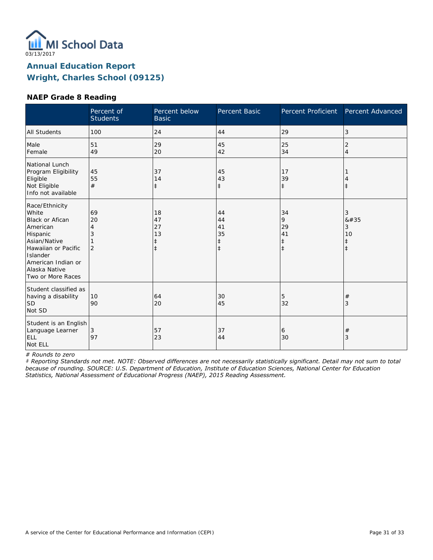

#### **NAEP Grade 8 Reading**

|                                                                                                                                                                                   | Percent of<br><b>Students</b>        | Percent below<br><b>Basic</b>           | Percent Basic                                    | <b>Percent Proficient</b>                       | Percent Advanced                              |
|-----------------------------------------------------------------------------------------------------------------------------------------------------------------------------------|--------------------------------------|-----------------------------------------|--------------------------------------------------|-------------------------------------------------|-----------------------------------------------|
| <b>All Students</b>                                                                                                                                                               | 100                                  | 24                                      | 44                                               | 29                                              | 3                                             |
| Male<br>Female                                                                                                                                                                    | 51<br>49                             | 29<br>20                                | 45<br>42                                         | 25<br>34                                        | 2<br>4                                        |
| National Lunch<br>Program Eligibility<br>Eligible<br>Not Eligible<br>Info not available                                                                                           | 45<br>55<br>#                        | 37<br>14<br>$\ddagger$                  | 45<br>43<br>$\ddagger$                           | 17<br>39<br>$\ddagger$                          | $^{\pm}$                                      |
| Race/Ethnicity<br>White<br>Black or Afican<br>American<br>Hispanic<br>Asian/Native<br>Hawaiian or Pacific<br>Islander<br>American Indian or<br>Alaska Native<br>Two or More Races | 69<br>20<br>4<br>3<br>$\overline{2}$ | 18<br>47<br>27<br>13<br>ŧ<br>$\ddagger$ | 44<br>44<br>41<br>35<br>$\ddagger$<br>$\ddagger$ | 34<br>9<br>29<br>41<br>$\ddagger$<br>$\ddagger$ | 3<br>#<br>3<br>10<br>$\ddagger$<br>$\ddagger$ |
| Student classified as<br>having a disability<br>lsd<br>Not SD                                                                                                                     | 10<br>90                             | 64<br>20                                | 30<br>45                                         | 5<br>32                                         | #<br>3                                        |
| Student is an English<br>Language Learner<br>ELL<br>Not ELL                                                                                                                       | 3<br>97                              | 57<br>23                                | 37<br>44                                         | 6<br>30                                         | $^{\#}$<br>3                                  |

*# Rounds to zero*

*‡ Reporting Standards not met. NOTE: Observed differences are not necessarily statistically significant. Detail may not sum to total because of rounding. SOURCE: U.S. Department of Education, Institute of Education Sciences, National Center for Education Statistics, National Assessment of Educational Progress (NAEP), 2015 Reading Assessment.*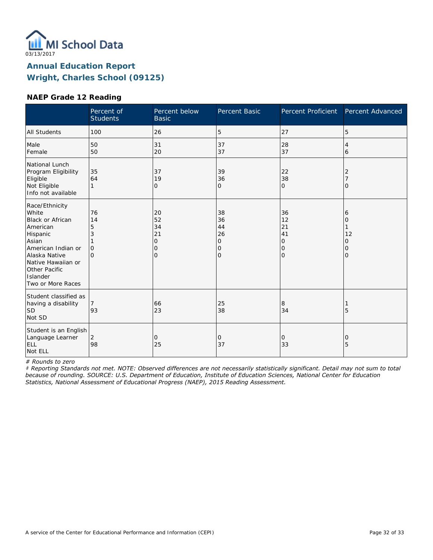

#### **NAEP Grade 12 Reading**

|                                                                                                                                                                                                    | Percent of<br><b>Students</b>                  | Percent below<br><b>Basic</b>                         | Percent Basic                                    | <b>Percent Proficient</b>                        | Percent Advanced                   |
|----------------------------------------------------------------------------------------------------------------------------------------------------------------------------------------------------|------------------------------------------------|-------------------------------------------------------|--------------------------------------------------|--------------------------------------------------|------------------------------------|
| <b>All Students</b>                                                                                                                                                                                | 100                                            | 26                                                    | 5                                                | 27                                               | 5                                  |
| Male<br>Female                                                                                                                                                                                     | 50<br>50                                       | 31<br>20                                              | 37<br>37                                         | 28<br>37                                         | 4<br>6                             |
| National Lunch<br>Program Eligibility<br>Eligible<br>Not Eligible<br>Info not available                                                                                                            | 35<br>64<br>1                                  | 37<br>19<br>0                                         | 39<br>36<br>0                                    | 22<br>38<br>$\mathbf 0$                          | 2<br>O                             |
| Race/Ethnicity<br>White<br><b>Black or African</b><br>American<br>Hispanic<br>Asian<br>American Indian or<br>Alaska Native<br>Native Hawaiian or<br>Other Pacific<br>Islander<br>Two or More Races | 76<br>14<br>5<br>3<br>$\mathbf{O}$<br>$\Omega$ | 20<br>52<br>34<br>21<br>$\mathbf{O}$<br>0<br>$\Omega$ | 38<br>36<br>44<br>26<br>0<br>0<br>$\overline{O}$ | 36<br>12<br>21<br>41<br>0<br>0<br>$\overline{O}$ | 6<br>0<br>12<br>0<br>0<br>$\Omega$ |
| Student classified as<br>having a disability<br><b>SD</b><br>Not SD                                                                                                                                | 93                                             | 66<br>23                                              | 25<br>38                                         | 8<br>34                                          | 5                                  |
| Student is an English<br>Language Learner<br>ELL<br>Not ELL                                                                                                                                        | 2<br>98                                        | 0<br>25                                               | 0<br>37                                          | 0<br>33                                          | 0<br>5                             |

*# Rounds to zero*

*‡ Reporting Standards not met. NOTE: Observed differences are not necessarily statistically significant. Detail may not sum to total because of rounding. SOURCE: U.S. Department of Education, Institute of Education Sciences, National Center for Education Statistics, National Assessment of Educational Progress (NAEP), 2015 Reading Assessment.*